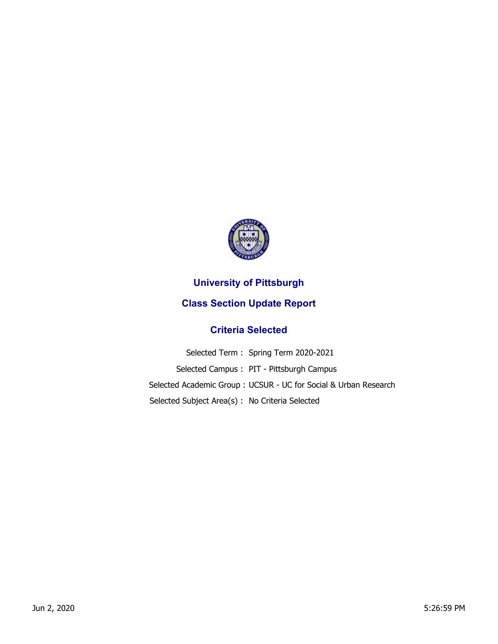

## **University of Pittsburgh**

## **Class Section Update Report**

## **Criteria Selected**

|                                                | Selected Term: Spring Term 2020-2021                            |
|------------------------------------------------|-----------------------------------------------------------------|
|                                                | Selected Campus: PIT - Pittsburgh Campus                        |
|                                                | Selected Academic Group: UCSUR - UC for Social & Urban Research |
| Selected Subject Area(s): No Criteria Selected |                                                                 |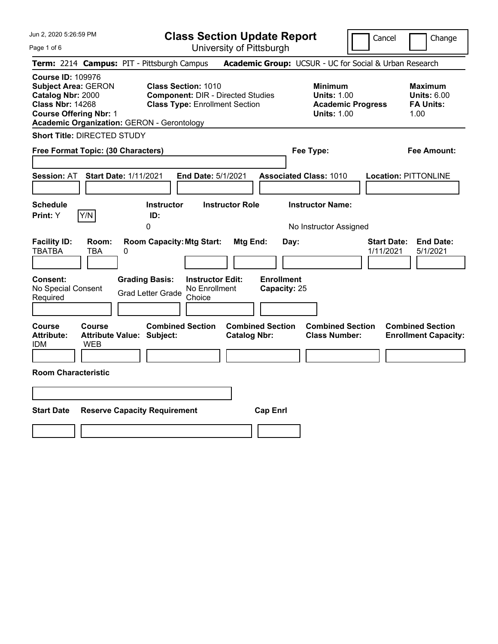Jun 2, 2020 5:26:59 PM

Page 1 of 6

**Class Section Update Report**

Cancel **Change** 

| Term: 2214 Campus: PIT - Pittsburgh Campus                                                                                                                                                   |                                                                                                                 | <b>Academic Group:</b> UCSUR - UC for Social & Urban Research                          |                                                                  |
|----------------------------------------------------------------------------------------------------------------------------------------------------------------------------------------------|-----------------------------------------------------------------------------------------------------------------|----------------------------------------------------------------------------------------|------------------------------------------------------------------|
| <b>Course ID: 109976</b><br><b>Subject Area: GERON</b><br>Catalog Nbr: 2000<br><b>Class Nbr: 14268</b><br><b>Course Offering Nbr: 1</b><br><b>Academic Organization: GERON - Gerontology</b> | <b>Class Section: 1010</b><br><b>Component: DIR - Directed Studies</b><br><b>Class Type: Enrollment Section</b> | <b>Minimum</b><br><b>Units: 1.00</b><br><b>Academic Progress</b><br><b>Units: 1.00</b> | <b>Maximum</b><br><b>Units: 6.00</b><br><b>FA Units:</b><br>1.00 |
| <b>Short Title: DIRECTED STUDY</b>                                                                                                                                                           |                                                                                                                 |                                                                                        |                                                                  |
| Free Format Topic: (30 Characters)                                                                                                                                                           |                                                                                                                 | Fee Type:                                                                              | <b>Fee Amount:</b>                                               |
| <b>Session: AT</b><br><b>Start Date: 1/11/2021</b>                                                                                                                                           | <b>End Date: 5/1/2021</b>                                                                                       | <b>Associated Class: 1010</b>                                                          | <b>Location: PITTONLINE</b>                                      |
| <b>Schedule</b><br>Y/N<br>Print: Y                                                                                                                                                           | <b>Instructor Role</b><br><b>Instructor</b><br>ID:<br>$\Omega$                                                  | <b>Instructor Name:</b><br>No Instructor Assigned                                      |                                                                  |
| <b>Facility ID:</b><br>Room:<br><b>TBATBA</b><br><b>TBA</b><br>0                                                                                                                             | <b>Room Capacity: Mtg Start:</b><br>Mtg End:                                                                    | Day:                                                                                   | <b>End Date:</b><br><b>Start Date:</b><br>1/11/2021<br>5/1/2021  |
| Consent:<br>No Special Consent<br>Required                                                                                                                                                   | <b>Grading Basis:</b><br><b>Instructor Edit:</b><br>No Enrollment<br><b>Grad Letter Grade</b><br>Choice         | <b>Enrollment</b><br>Capacity: 25                                                      |                                                                  |
| Course<br><b>Course</b><br><b>Attribute:</b><br><b>Attribute Value: Subject:</b><br><b>WEB</b><br>idm                                                                                        | <b>Combined Section</b><br><b>Catalog Nbr:</b>                                                                  | <b>Combined Section</b><br><b>Combined Section</b><br><b>Class Number:</b>             | <b>Combined Section</b><br><b>Enrollment Capacity:</b>           |
| <b>Room Characteristic</b>                                                                                                                                                                   |                                                                                                                 |                                                                                        |                                                                  |
|                                                                                                                                                                                              |                                                                                                                 |                                                                                        |                                                                  |
| <b>Start Date</b>                                                                                                                                                                            | <b>Reserve Capacity Requirement</b>                                                                             | <b>Cap Enrl</b>                                                                        |                                                                  |
|                                                                                                                                                                                              |                                                                                                                 |                                                                                        |                                                                  |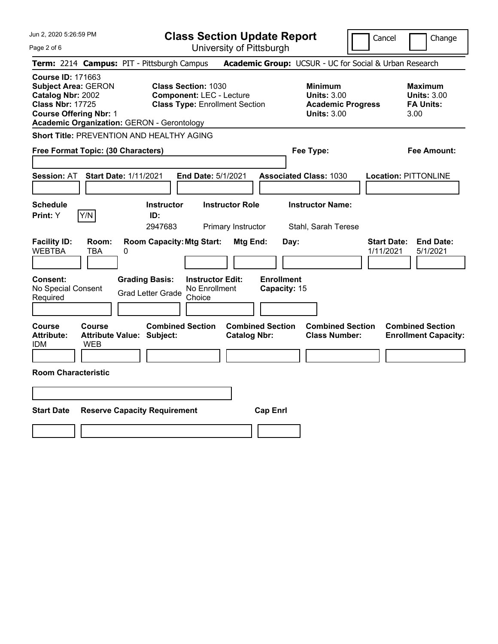Jun 2, 2020 5:26:59 PM Page 2 of 6 **Class Section Update Report** University of Pittsburgh Cancel | Change **Term:** 2214 **Campus:** PIT - Pittsburgh Campus **Academic Group:** UCSUR - UC for Social & Urban Research **Course ID:** 171663 **Subject Area:** GERON **Class Section:** 1030 **Minimum Maximum Catalog Nbr:** 2002 **Component:** LEC - Lecture **Units:** 3.00 **Units:** 3.00 **Class Nbr:** 17725 **Class Type:** Enrollment Section **Academic Progress FA Units: Course Offering Nbr:** 1 **Units:** 3.00 3.00 **Academic Organization:** GERON - Gerontology **Short Title:** PREVENTION AND HEALTHY AGING **Free Format Topic: (30 Characters) Fee Type: Fee Amount: Session:** AT **Start Date:** 1/11/2021 **End Date:** 5/1/2021 **Associated Class:** 1030 **Location:** PITTONLINE **Schedule Instructor Instructor Role Instructor Name: Print:**  $Y$   $|Y/N|$  **ID:** 2947683 Primary Instructor Stahl, Sarah Terese **Facility ID: Room: Room Capacity:Mtg Start: Mtg End: Day: Start Date: End Date:** WEBTBA TBA 0 1/11/2021 5/1/2021 **Consent: Grading Basis: Instructor Edit: Enrollment** No Special Consent Grad Letter Grade No Enrollment Choice **Capacity:** 15 **Course Course Combined Section Combined Section Combined Section Combined Section Attribute: Attribute Value: Subject: Catalog Nbr: Class Number: Enrollment Capacity:**  IDM WEB **Room Characteristic Start Date Reserve Capacity Requirement Cap Enrl**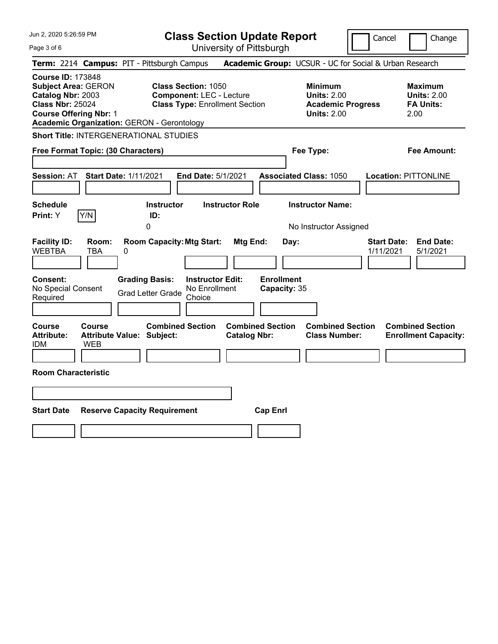|  |  | Jun 2, 2020 5:26:59 PM |  |
|--|--|------------------------|--|
|--|--|------------------------|--|

Page 3 of 6

**Class Section Update Report**

Cancel Change

|                                                                                                                                                                                              | Term: 2214 Campus: PIT - Pittsburgh Campus                                                                                                       |                                                | Academic Group: UCSUR - UC for Social & Urban Research                                 |                                                                  |
|----------------------------------------------------------------------------------------------------------------------------------------------------------------------------------------------|--------------------------------------------------------------------------------------------------------------------------------------------------|------------------------------------------------|----------------------------------------------------------------------------------------|------------------------------------------------------------------|
| <b>Course ID: 173848</b><br><b>Subject Area: GERON</b><br>Catalog Nbr: 2003<br><b>Class Nbr: 25024</b><br><b>Course Offering Nbr: 1</b><br><b>Academic Organization: GERON - Gerontology</b> | <b>Class Section: 1050</b><br><b>Component: LEC - Lecture</b><br><b>Class Type: Enrollment Section</b>                                           |                                                | <b>Minimum</b><br><b>Units: 2.00</b><br><b>Academic Progress</b><br><b>Units: 2.00</b> | <b>Maximum</b><br><b>Units: 2.00</b><br><b>FA Units:</b><br>2.00 |
| <b>Short Title: INTERGENERATIONAL STUDIES</b>                                                                                                                                                |                                                                                                                                                  |                                                |                                                                                        |                                                                  |
| Free Format Topic: (30 Characters)                                                                                                                                                           |                                                                                                                                                  |                                                | Fee Type:                                                                              | <b>Fee Amount:</b>                                               |
| Session: AT                                                                                                                                                                                  | <b>Start Date: 1/11/2021</b><br>End Date: 5/1/2021                                                                                               |                                                | <b>Associated Class: 1050</b>                                                          | <b>Location: PITTONLINE</b>                                      |
| <b>Schedule</b><br>Y/N<br>Print: Y                                                                                                                                                           | <b>Instructor</b><br>ID:<br>$\Omega$                                                                                                             | <b>Instructor Role</b>                         | <b>Instructor Name:</b><br>No Instructor Assigned                                      |                                                                  |
| <b>Facility ID:</b><br>Room:<br><b>WEBTBA</b><br>TBA<br><b>Consent:</b><br>No Special Consent<br>Required                                                                                    | <b>Room Capacity: Mtg Start:</b><br>0<br><b>Grading Basis:</b><br><b>Instructor Edit:</b><br>No Enrollment<br><b>Grad Letter Grade</b><br>Choice | Mtg End:<br><b>Enrollment</b><br>Capacity: 35  | Day:                                                                                   | <b>Start Date:</b><br><b>End Date:</b><br>1/11/2021<br>5/1/2021  |
| Course<br>Course<br><b>Attribute:</b><br>idm<br>WEB                                                                                                                                          | <b>Combined Section</b><br><b>Attribute Value: Subject:</b>                                                                                      | <b>Combined Section</b><br><b>Catalog Nbr:</b> | <b>Combined Section</b><br><b>Class Number:</b>                                        | <b>Combined Section</b><br><b>Enrollment Capacity:</b>           |
| <b>Room Characteristic</b>                                                                                                                                                                   |                                                                                                                                                  |                                                |                                                                                        |                                                                  |
| <b>Start Date</b>                                                                                                                                                                            | <b>Reserve Capacity Requirement</b>                                                                                                              | <b>Cap Enrl</b>                                |                                                                                        |                                                                  |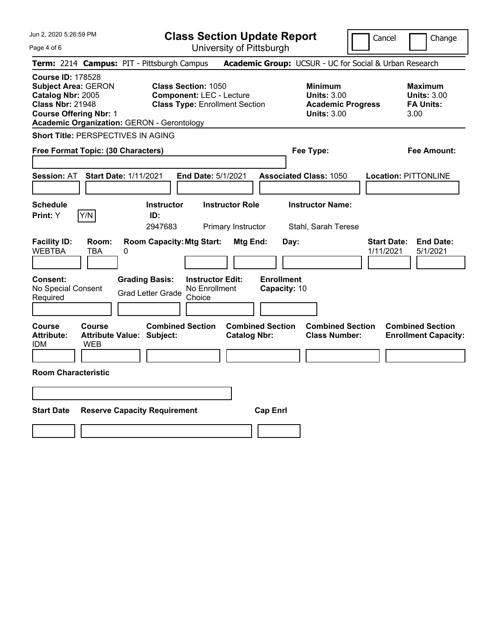|  |  | Jun 2, 2020 5:26:59 PM |  |
|--|--|------------------------|--|
|--|--|------------------------|--|

Page 4 of 6

**Class Section Update Report**

Cancel Change

|                                                                                                                                         |                                                   | UNIVUOILY UN NIUDUNIU                                                                                  |                                                            |                                 |                                                                  |
|-----------------------------------------------------------------------------------------------------------------------------------------|---------------------------------------------------|--------------------------------------------------------------------------------------------------------|------------------------------------------------------------|---------------------------------|------------------------------------------------------------------|
|                                                                                                                                         | Term: 2214 Campus: PIT - Pittsburgh Campus        |                                                                                                        | Academic Group: UCSUR - UC for Social & Urban Research     |                                 |                                                                  |
| <b>Course ID: 178528</b><br><b>Subject Area: GERON</b><br>Catalog Nbr: 2005<br><b>Class Nbr: 21948</b><br><b>Course Offering Nbr: 1</b> | <b>Academic Organization: GERON - Gerontology</b> | <b>Class Section: 1050</b><br><b>Component: LEC - Lecture</b><br><b>Class Type: Enrollment Section</b> | <b>Minimum</b><br><b>Units: 3.00</b><br><b>Units: 3.00</b> | <b>Academic Progress</b>        | <b>Maximum</b><br><b>Units: 3.00</b><br><b>FA Units:</b><br>3.00 |
|                                                                                                                                         | <b>Short Title: PERSPECTIVES IN AGING</b>         |                                                                                                        |                                                            |                                 |                                                                  |
| Free Format Topic: (30 Characters)                                                                                                      |                                                   |                                                                                                        | Fee Type:                                                  |                                 | <b>Fee Amount:</b>                                               |
| <b>Session: AT</b>                                                                                                                      | <b>Start Date: 1/11/2021</b>                      | End Date: 5/1/2021                                                                                     | <b>Associated Class: 1050</b>                              |                                 | <b>Location: PITTONLINE</b>                                      |
| <b>Schedule</b><br>Y/N<br>Print: Y                                                                                                      | <b>Instructor</b><br>ID:<br>2947683               | <b>Instructor Role</b><br>Primary Instructor                                                           | <b>Instructor Name:</b><br>Stahl, Sarah Terese             |                                 |                                                                  |
| <b>Facility ID:</b><br>Room:<br><b>WEBTBA</b><br>TBA                                                                                    | 0                                                 | <b>Room Capacity: Mtg Start:</b><br>Mtg End:                                                           | Day:                                                       | <b>Start Date:</b><br>1/11/2021 | <b>End Date:</b><br>5/1/2021                                     |
| Consent:<br>No Special Consent<br>Required                                                                                              | <b>Grading Basis:</b><br><b>Grad Letter Grade</b> | <b>Instructor Edit:</b><br>No Enrollment<br>Choice                                                     | <b>Enrollment</b><br>Capacity: 10                          |                                 |                                                                  |
| Course<br>Course<br><b>Attribute:</b><br>IDM<br>WEB                                                                                     | <b>Attribute Value: Subject:</b>                  | <b>Combined Section</b><br><b>Catalog Nbr:</b>                                                         | <b>Combined Section</b><br><b>Class Number:</b>            | <b>Combined Section</b>         | <b>Combined Section</b><br><b>Enrollment Capacity:</b>           |
| <b>Room Characteristic</b>                                                                                                              |                                                   |                                                                                                        |                                                            |                                 |                                                                  |
|                                                                                                                                         |                                                   |                                                                                                        |                                                            |                                 |                                                                  |
| <b>Start Date</b>                                                                                                                       | <b>Reserve Capacity Requirement</b>               |                                                                                                        | <b>Cap Enrl</b>                                            |                                 |                                                                  |
|                                                                                                                                         |                                                   |                                                                                                        |                                                            |                                 |                                                                  |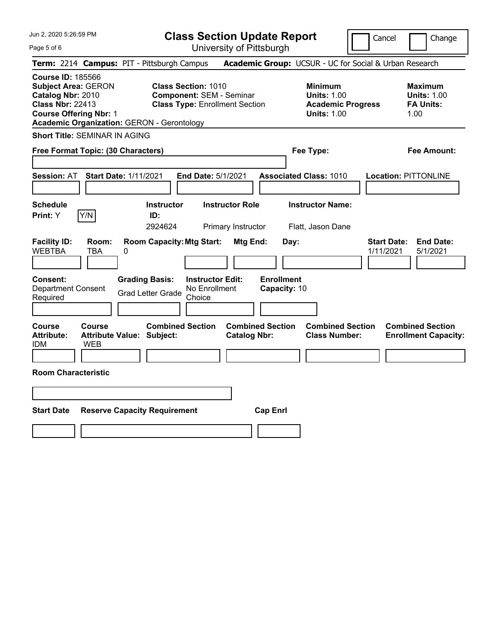Page 5 of 6

**Class Section Update Report**

Cancel **Change** 

|                                                                                                                                                                                              | Term: 2214 Campus: PIT - Pittsburgh Campus                                                              | Academic Group: UCSUR - UC for Social & Urban Research                                            |                                                                  |
|----------------------------------------------------------------------------------------------------------------------------------------------------------------------------------------------|---------------------------------------------------------------------------------------------------------|---------------------------------------------------------------------------------------------------|------------------------------------------------------------------|
| <b>Course ID: 185566</b><br><b>Subject Area: GERON</b><br>Catalog Nbr: 2010<br><b>Class Nbr: 22413</b><br><b>Course Offering Nbr: 1</b><br><b>Academic Organization: GERON - Gerontology</b> | <b>Class Section: 1010</b><br><b>Component: SEM - Seminar</b><br><b>Class Type: Enrollment Section</b>  | <b>Minimum</b><br><b>Units: 1.00</b><br><b>Academic Progress</b><br><b>Units: 1.00</b>            | <b>Maximum</b><br><b>Units: 1.00</b><br><b>FA Units:</b><br>1.00 |
| <b>Short Title: SEMINAR IN AGING</b>                                                                                                                                                         |                                                                                                         |                                                                                                   |                                                                  |
| Free Format Topic: (30 Characters)                                                                                                                                                           |                                                                                                         | Fee Type:                                                                                         | <b>Fee Amount:</b>                                               |
| <b>Session: AT</b>                                                                                                                                                                           | <b>Start Date: 1/11/2021</b><br>End Date: 5/1/2021                                                      | <b>Associated Class: 1010</b>                                                                     | <b>Location: PITTONLINE</b>                                      |
| <b>Schedule</b><br>Y/N<br>Print: Y                                                                                                                                                           | <b>Instructor Role</b><br><b>Instructor</b><br>ID:<br>2924624<br>Primary Instructor                     | <b>Instructor Name:</b><br>Flatt, Jason Dane                                                      |                                                                  |
| <b>Facility ID:</b><br>Room:<br><b>WEBTBA</b><br><b>TBA</b>                                                                                                                                  | <b>Room Capacity: Mtg Start:</b><br>0                                                                   | Mtg End:<br>Day:                                                                                  | <b>Start Date:</b><br><b>End Date:</b><br>1/11/2021<br>5/1/2021  |
| Consent:<br>Department Consent<br>Required                                                                                                                                                   | <b>Grading Basis:</b><br><b>Instructor Edit:</b><br>No Enrollment<br><b>Grad Letter Grade</b><br>Choice | <b>Enrollment</b><br>Capacity: 10                                                                 |                                                                  |
| Course<br>Course<br><b>Attribute:</b><br><b>IDM</b><br><b>WEB</b>                                                                                                                            | <b>Combined Section</b><br><b>Attribute Value: Subject:</b>                                             | <b>Combined Section</b><br><b>Combined Section</b><br><b>Class Number:</b><br><b>Catalog Nbr:</b> | <b>Combined Section</b><br><b>Enrollment Capacity:</b>           |
| <b>Room Characteristic</b>                                                                                                                                                                   |                                                                                                         |                                                                                                   |                                                                  |
|                                                                                                                                                                                              |                                                                                                         |                                                                                                   |                                                                  |
| <b>Start Date</b>                                                                                                                                                                            | <b>Reserve Capacity Requirement</b>                                                                     | <b>Cap Enrl</b>                                                                                   |                                                                  |
|                                                                                                                                                                                              |                                                                                                         |                                                                                                   |                                                                  |